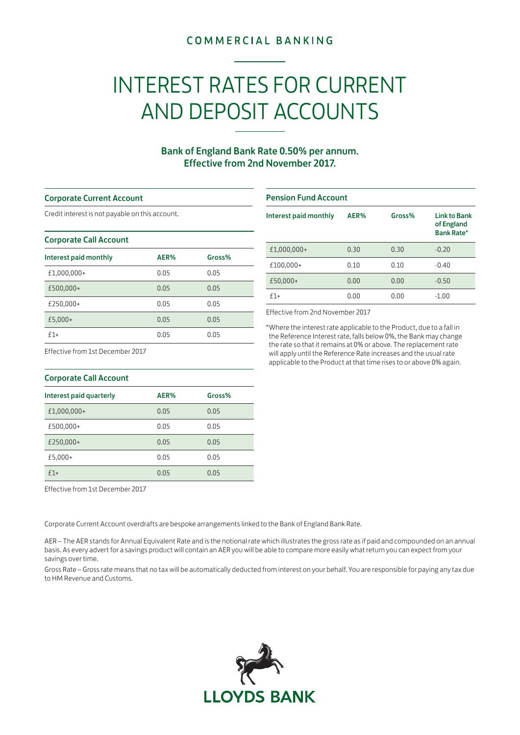## **COMMERCIAL BANKING**

# INTEREST RATES FOR CURRENT AND DEPOSIT ACCOUNTS

### Bank of England Bank Rate 0.50% per annum. Effective from 2nd November 2017.

#### Corporate Current Account

Credit interest is not payable on this account.

#### Corporate Call Account

| Interest paid monthly | AER% | Gross% |
|-----------------------|------|--------|
| £1,000,000+           | 0.05 | 0.05   |
| £500,000+             | 0.05 | 0.05   |
| £250,000+             | 0.05 | 0.05   |
| £5,000+               | 0.05 | 0.05   |
| $f1+$                 | 0.05 | 0.05   |

# Pension Fund Account Interest paid monthly AER% Gross% Link to Bank of England Bank Rate\* £1,000,000+ 0.30 0.30 -0.20 £100,000+ 0.10 0.10 -0.40 £50,000+ 0.00 0.00 -0.50 £1+ 0.00 0.00 -1.00

Effective from 2nd November 2017

\*Where the interest rate applicable to the Product, due to a fall in the Reference Interest rate, falls below 0%, the Bank may change the rate so that it remains at 0% or above. The replacement rate will apply until the Reference Rate increases and the usual rate applicable to the Product at that time rises to or above 0% again.

Effective from 1st December 2017

| <b>Corporate Call Account</b> |      |        |
|-------------------------------|------|--------|
| Interest paid quarterly       | AER% | Gross% |
| £1,000,000+                   | 0.05 | 0.05   |
| £500,000+                     | 0.05 | 0.05   |
| £250,000+                     | 0.05 | 0.05   |
| £5,000+                       | 0.05 | 0.05   |
| $f1+$                         | 0.05 | 0.05   |

Effective from 1st December 2017

Corporate Current Account overdrafts are bespoke arrangements linked to the Bank of England Bank Rate.

AER – The AER stands for Annual Equivalent Rate and is the notional rate which illustrates the gross rate as if paid and compounded on an annual basis. As every advert for a savings product will contain an AER you will be able to compare more easily what return you can expect from your savings over time.

Gross Rate – Gross rate means that no tax will be automatically deducted from interest on your behalf. You are responsible for paying any tax due to HM Revenue and Customs.